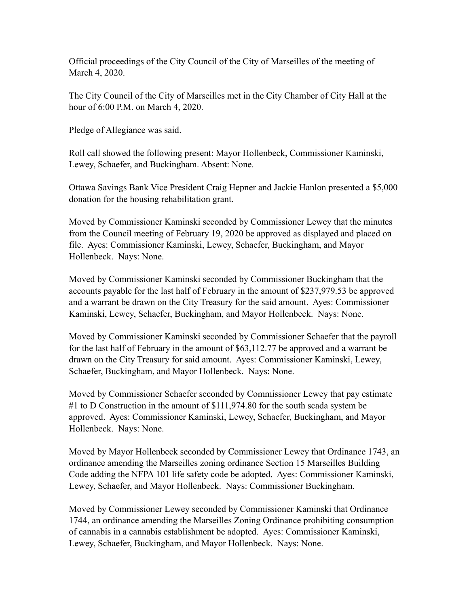Official proceedings of the City Council of the City of Marseilles of the meeting of March 4, 2020.

The City Council of the City of Marseilles met in the City Chamber of City Hall at the hour of 6:00 P.M. on March 4, 2020.

Pledge of Allegiance was said.

Roll call showed the following present: Mayor Hollenbeck, Commissioner Kaminski, Lewey, Schaefer, and Buckingham. Absent: None.

Ottawa Savings Bank Vice President Craig Hepner and Jackie Hanlon presented a \$5,000 donation for the housing rehabilitation grant.

Moved by Commissioner Kaminski seconded by Commissioner Lewey that the minutes from the Council meeting of February 19, 2020 be approved as displayed and placed on file. Ayes: Commissioner Kaminski, Lewey, Schaefer, Buckingham, and Mayor Hollenbeck. Nays: None.

Moved by Commissioner Kaminski seconded by Commissioner Buckingham that the accounts payable for the last half of February in the amount of \$237,979.53 be approved and a warrant be drawn on the City Treasury for the said amount. Ayes: Commissioner Kaminski, Lewey, Schaefer, Buckingham, and Mayor Hollenbeck. Nays: None.

Moved by Commissioner Kaminski seconded by Commissioner Schaefer that the payroll for the last half of February in the amount of \$63,112.77 be approved and a warrant be drawn on the City Treasury for said amount. Ayes: Commissioner Kaminski, Lewey, Schaefer, Buckingham, and Mayor Hollenbeck. Nays: None.

Moved by Commissioner Schaefer seconded by Commissioner Lewey that pay estimate #1 to D Construction in the amount of \$111,974.80 for the south scada system be approved. Ayes: Commissioner Kaminski, Lewey, Schaefer, Buckingham, and Mayor Hollenbeck. Nays: None.

Moved by Mayor Hollenbeck seconded by Commissioner Lewey that Ordinance 1743, an ordinance amending the Marseilles zoning ordinance Section 15 Marseilles Building Code adding the NFPA 101 life safety code be adopted. Ayes: Commissioner Kaminski, Lewey, Schaefer, and Mayor Hollenbeck. Nays: Commissioner Buckingham.

Moved by Commissioner Lewey seconded by Commissioner Kaminski that Ordinance 1744, an ordinance amending the Marseilles Zoning Ordinance prohibiting consumption of cannabis in a cannabis establishment be adopted. Ayes: Commissioner Kaminski, Lewey, Schaefer, Buckingham, and Mayor Hollenbeck. Nays: None.